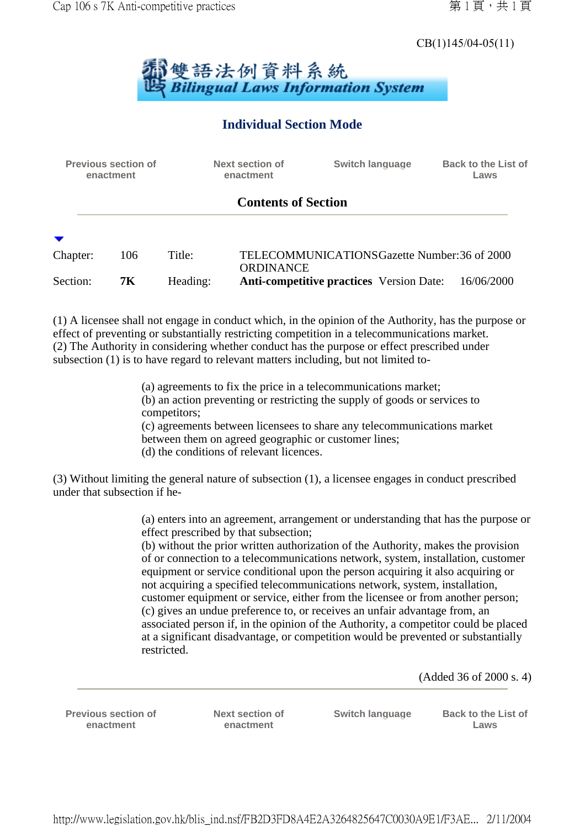# CB(1)145/04-05(11)



## **Individual Section Mode**

| <b>Previous section of</b><br>enactment |                  |                    | Next section of<br>enactment | <b>Switch language</b>                                                                           | <b>Back to the List of</b><br>Laws |
|-----------------------------------------|------------------|--------------------|------------------------------|--------------------------------------------------------------------------------------------------|------------------------------------|
|                                         |                  |                    | <b>Contents of Section</b>   |                                                                                                  |                                    |
|                                         |                  |                    |                              |                                                                                                  |                                    |
| Chapter:<br>Section:                    | 106<br><b>7K</b> | Title:<br>Heading: | ORDINANCE                    | TELECOMMUNICATIONS Gazette Number: 36 of 2000<br><b>Anti-competitive practices</b> Version Date: | 16/06/2000                         |

(1) A licensee shall not engage in conduct which, in the opinion of the Authority, has the purpose or effect of preventing or substantially restricting competition in a telecommunications market. (2) The Authority in considering whether conduct has the purpose or effect prescribed under subsection (1) is to have regard to relevant matters including, but not limited to-

> (a) agreements to fix the price in a telecommunications market; (b) an action preventing or restricting the supply of goods or services to competitors; (c) agreements between licensees to share any telecommunications market between them on agreed geographic or customer lines; (d) the conditions of relevant licences.

(3) Without limiting the general nature of subsection (1), a licensee engages in conduct prescribed under that subsection if he-

> (a) enters into an agreement, arrangement or understanding that has the purpose or effect prescribed by that subsection;

> (b) without the prior written authorization of the Authority, makes the provision of or connection to a telecommunications network, system, installation, customer equipment or service conditional upon the person acquiring it also acquiring or not acquiring a specified telecommunications network, system, installation, customer equipment or service, either from the licensee or from another person; (c) gives an undue preference to, or receives an unfair advantage from, an associated person if, in the opinion of the Authority, a competitor could be placed at a significant disadvantage, or competition would be prevented or substantially restricted.

> > (Added 36 of 2000 s. 4)

**Previous section of enactment**

**Next section of enactment**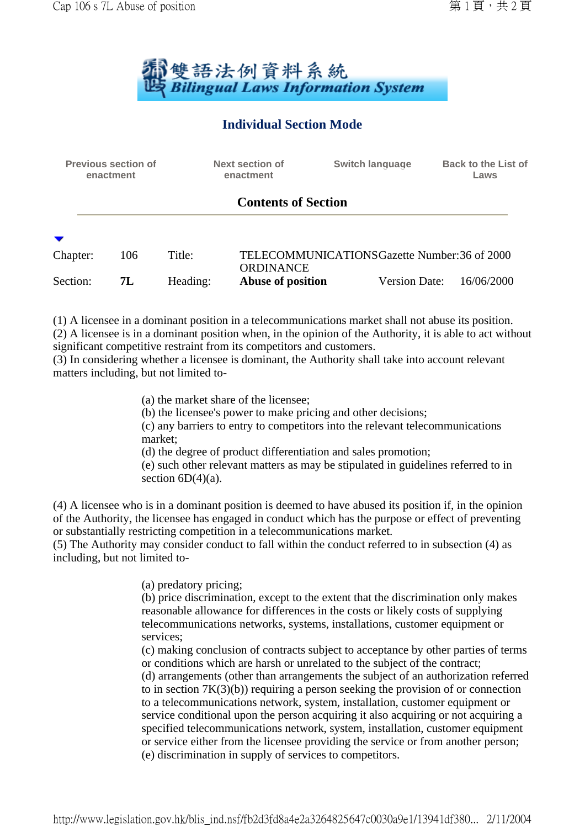

## **Individual Section Mode**

| <b>Previous section of</b><br>enactment |     |          | <b>Next section of</b><br>enactment           |  | <b>Switch language</b> | <b>Back to the List of</b><br>Laws |  |  |
|-----------------------------------------|-----|----------|-----------------------------------------------|--|------------------------|------------------------------------|--|--|
| <b>Contents of Section</b>              |     |          |                                               |  |                        |                                    |  |  |
| Chapter:                                | 106 | Title:   | TELECOMMUNICATIONS Gazette Number: 36 of 2000 |  |                        |                                    |  |  |
| Section:                                | 7L  | Heading: | ORDINANCE<br>Abuse of position                |  | <b>Version Date:</b>   | 16/06/2000                         |  |  |

(1) A licensee in a dominant position in a telecommunications market shall not abuse its position. (2) A licensee is in a dominant position when, in the opinion of the Authority, it is able to act without significant competitive restraint from its competitors and customers.

(3) In considering whether a licensee is dominant, the Authority shall take into account relevant matters including, but not limited to-

(a) the market share of the licensee;

(b) the licensee's power to make pricing and other decisions;

(c) any barriers to entry to competitors into the relevant telecommunications market;

(d) the degree of product differentiation and sales promotion;

(e) such other relevant matters as may be stipulated in guidelines referred to in section  $6D(4)(a)$ .

(4) A licensee who is in a dominant position is deemed to have abused its position if, in the opinion of the Authority, the licensee has engaged in conduct which has the purpose or effect of preventing or substantially restricting competition in a telecommunications market.

(5) The Authority may consider conduct to fall within the conduct referred to in subsection (4) as including, but not limited to-

(a) predatory pricing;

(b) price discrimination, except to the extent that the discrimination only makes reasonable allowance for differences in the costs or likely costs of supplying telecommunications networks, systems, installations, customer equipment or services;

(c) making conclusion of contracts subject to acceptance by other parties of terms or conditions which are harsh or unrelated to the subject of the contract;

(d) arrangements (other than arrangements the subject of an authorization referred to in section  $7K(3)(b)$  requiring a person seeking the provision of or connection to a telecommunications network, system, installation, customer equipment or service conditional upon the person acquiring it also acquiring or not acquiring a specified telecommunications network, system, installation, customer equipment or service either from the licensee providing the service or from another person; (e) discrimination in supply of services to competitors.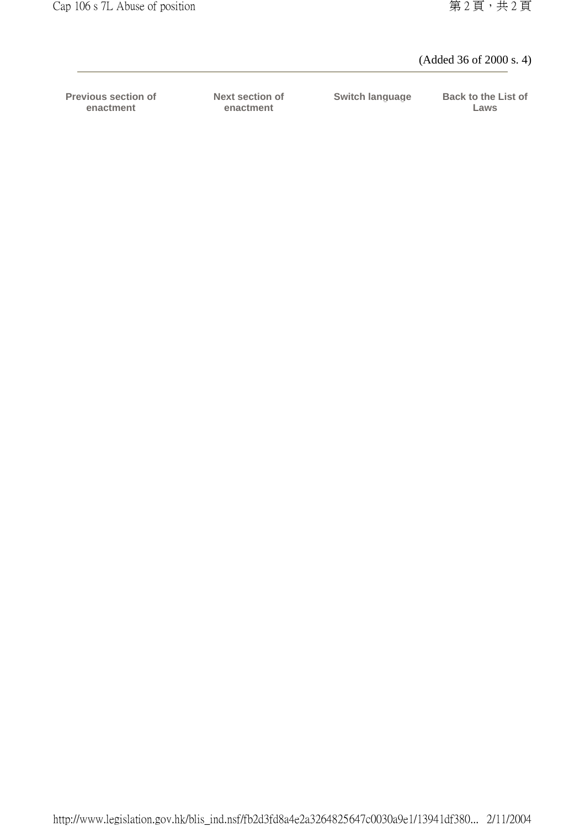#### (Added 36 of 2000 s. 4)

**Previous section of enactment**

**Next section of enactment**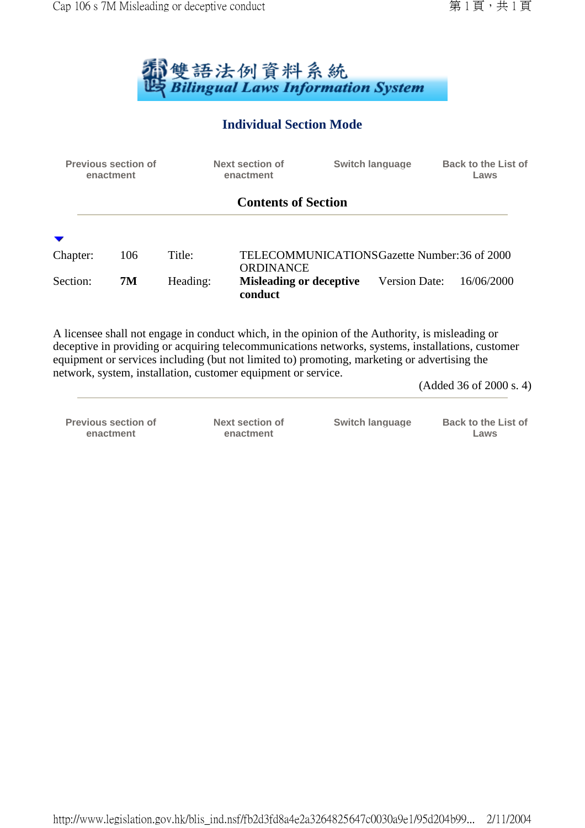

## **Individual Section Mode**

| <b>Previous section of</b><br>enactment |     |          | <b>Next section of</b><br>enactment       | <b>Switch language</b>                        | <b>Back to the List of</b><br>Laws |
|-----------------------------------------|-----|----------|-------------------------------------------|-----------------------------------------------|------------------------------------|
|                                         |     |          | <b>Contents of Section</b>                |                                               |                                    |
|                                         |     |          |                                           |                                               |                                    |
| Chapter:                                | 106 | Title:   | <b>ORDINANCE</b>                          | TELECOMMUNICATIONS Gazette Number: 36 of 2000 |                                    |
| Section:                                | 7M  | Heading: | <b>Misleading or deceptive</b><br>conduct | <b>Version Date:</b>                          | 16/06/2000                         |

A licensee shall not engage in conduct which, in the opinion of the Authority, is misleading or deceptive in providing or acquiring telecommunications networks, systems, installations, customer equipment or services including (but not limited to) promoting, marketing or advertising the network, system, installation, customer equipment or service.

(Added 36 of 2000 s. 4)

**Previous section of enactment**

**Next section of enactment**